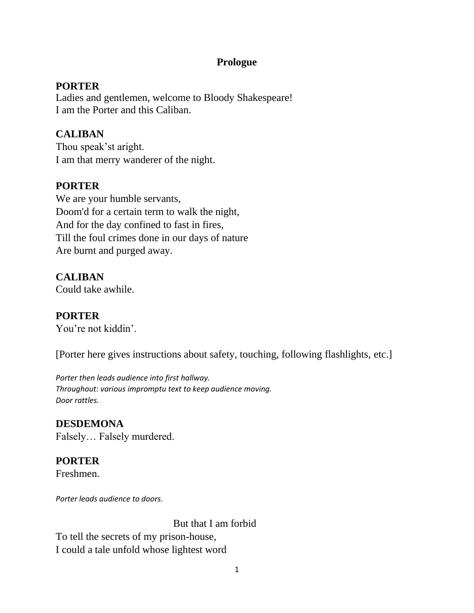#### **Prologue**

#### **PORTER**

Ladies and gentlemen, welcome to Bloody Shakespeare! I am the Porter and this Caliban.

## **CALIBAN**

Thou speak'st aright. I am that merry wanderer of the night.

#### **PORTER**

We are your humble servants, Doom'd for a certain term to walk the night, And for the day confined to fast in fires, Till the foul crimes done in our days of nature Are burnt and purged away.

#### **CALIBAN**

Could take awhile.

#### **PORTER**

You're not kiddin'.

[Porter here gives instructions about safety, touching, following flashlights, etc.]

*Porter then leads audience into first hallway. Throughout: various impromptu text to keep audience moving. Door rattles.*

#### **DESDEMONA**

Falsely… Falsely murdered.

#### **PORTER**

Freshmen.

*Porter leads audience to doors.*

But that I am forbid

To tell the secrets of my prison-house, I could a tale unfold whose lightest word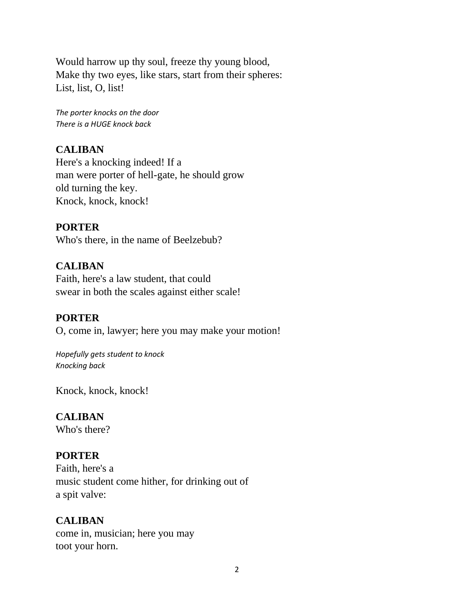Would harrow up thy soul, freeze thy young blood, Make thy two eyes, like stars, start from their spheres: List, list, O, list!

*The porter knocks on the door There is a HUGE knock back*

## **CALIBAN**

Here's a knocking indeed! If a man were porter of hell-gate, he should grow old turning the key. Knock, knock, knock!

#### **PORTER**

Who's there, in the name of Beelzebub?

#### **CALIBAN**

Faith, here's a law student, that could swear in both the scales against either scale!

#### **PORTER**

O, come in, lawyer; here you may make your motion!

*Hopefully gets student to knock Knocking back*

Knock, knock, knock!

#### **CALIBAN**

Who's there?

#### **PORTER**

Faith, here's a music student come hither, for drinking out of a spit valve:

#### **CALIBAN**

come in, musician; here you may toot your horn.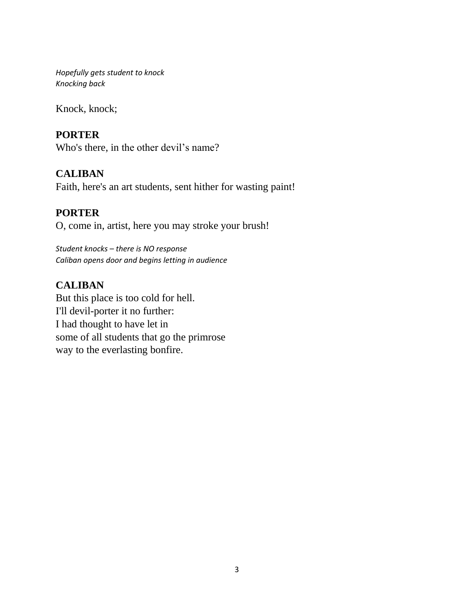*Hopefully gets student to knock Knocking back*

Knock, knock;

## **PORTER**

Who's there, in the other devil's name?

## **CALIBAN**

Faith, here's an art students, sent hither for wasting paint!

#### **PORTER**

O, come in, artist, here you may stroke your brush!

*Student knocks – there is NO response Caliban opens door and begins letting in audience*

## **CALIBAN**

But this place is too cold for hell. I'll devil-porter it no further: I had thought to have let in some of all students that go the primrose way to the everlasting bonfire.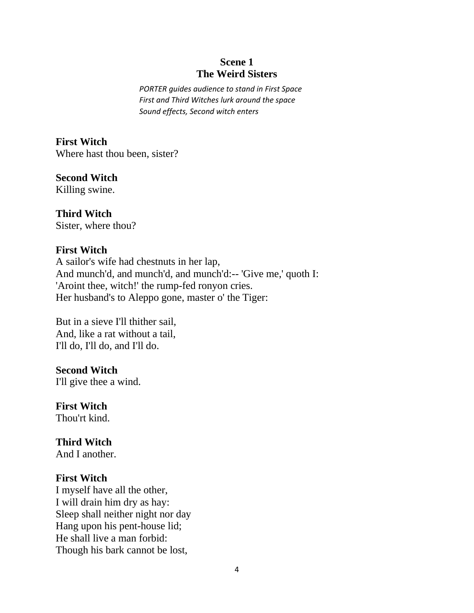#### **Scene 1 The Weird Sisters**

*PORTER guides audience to stand in First Space First and Third Witches lurk around the space Sound effects, Second witch enters*

**First Witch** Where hast thou been, sister?

**Second Witch** Killing swine.

## **Third Witch**

Sister, where thou?

#### **First Witch**

A sailor's wife had chestnuts in her lap, And munch'd, and munch'd, and munch'd:-- 'Give me,' quoth I: 'Aroint thee, witch!' the rump-fed ronyon cries. Her husband's to Aleppo gone, master o' the Tiger:

But in a sieve I'll thither sail, And, like a rat without a tail, I'll do, I'll do, and I'll do.

**Second Witch** I'll give thee a wind.

**First Witch** Thou'rt kind.

## **Third Witch**

And I another.

#### **First Witch**

I myself have all the other, I will drain him dry as hay: Sleep shall neither night nor day Hang upon his pent-house lid; He shall live a man forbid: Though his bark cannot be lost,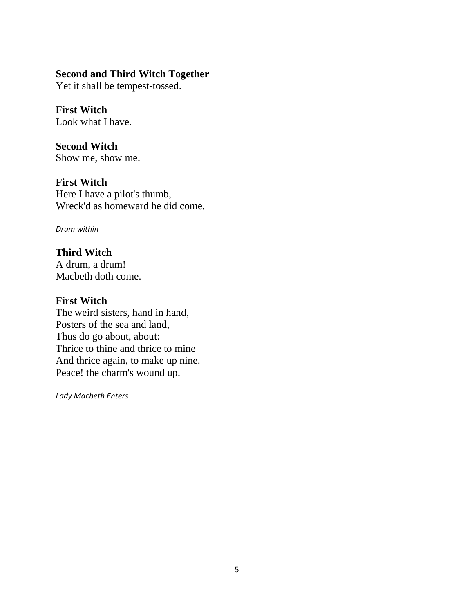#### **Second and Third Witch Together**

Yet it shall be tempest-tossed.

**First Witch** Look what I have.

**Second Witch** Show me, show me.

**First Witch** Here I have a pilot's thumb, Wreck'd as homeward he did come.

*Drum within*

# **Third Witch**

A drum, a drum! Macbeth doth come.

#### **First Witch**

The weird sisters, hand in hand, Posters of the sea and land, Thus do go about, about: Thrice to thine and thrice to mine And thrice again, to make up nine. Peace! the charm's wound up.

*Lady Macbeth Enters*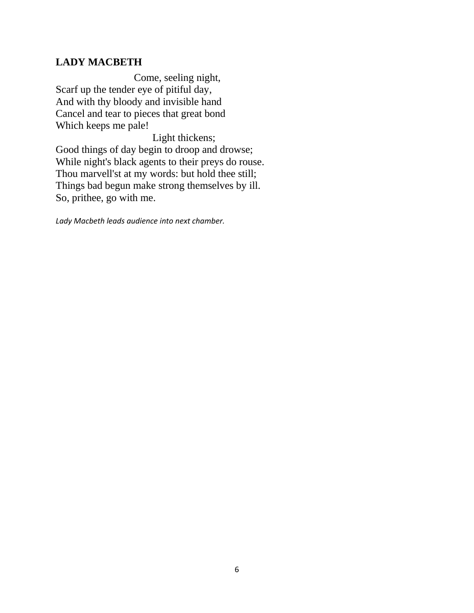#### **LADY MACBETH**

 Come, seeling night, Scarf up the tender eye of pitiful day, And with thy bloody and invisible hand Cancel and tear to pieces that great bond Which keeps me pale!

 Light thickens; Good things of day begin to droop and drowse; While night's black agents to their preys do rouse. Thou marvell'st at my words: but hold thee still; Things bad begun make strong themselves by ill. So, prithee, go with me.

*Lady Macbeth leads audience into next chamber.*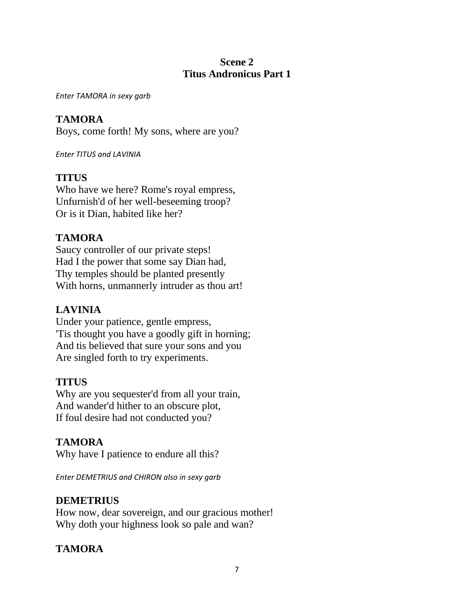#### **Scene 2 Titus Andronicus Part 1**

*Enter TAMORA in sexy garb*

#### **TAMORA**

Boys, come forth! My sons, where are you?

*Enter TITUS and LAVINIA*

#### **TITUS**

Who have we here? Rome's royal empress, Unfurnish'd of her well-beseeming troop? Or is it Dian, habited like her?

#### **TAMORA**

Saucy controller of our private steps! Had I the power that some say Dian had, Thy temples should be planted presently With horns, unmannerly intruder as thou art!

#### **LAVINIA**

Under your patience, gentle empress, 'Tis thought you have a goodly gift in horning; And tis believed that sure your sons and you Are singled forth to try experiments.

#### **TITUS**

Why are you sequester'd from all your train, And wander'd hither to an obscure plot, If foul desire had not conducted you?

#### **TAMORA**

Why have I patience to endure all this?

*Enter DEMETRIUS and CHIRON also in sexy garb*

#### **DEMETRIUS**

How now, dear sovereign, and our gracious mother! Why doth your highness look so pale and wan?

#### **TAMORA**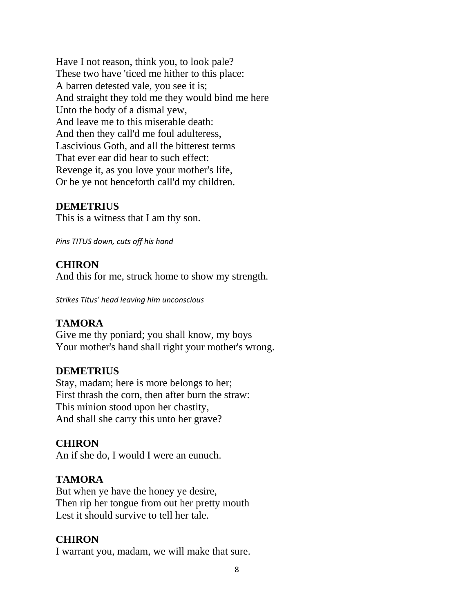Have I not reason, think you, to look pale? These two have 'ticed me hither to this place: A barren detested vale, you see it is; And straight they told me they would bind me here Unto the body of a dismal yew, And leave me to this miserable death: And then they call'd me foul adulteress, Lascivious Goth, and all the bitterest terms That ever ear did hear to such effect: Revenge it, as you love your mother's life, Or be ye not henceforth call'd my children.

#### **DEMETRIUS**

This is a witness that I am thy son.

*Pins TITUS down, cuts off his hand*

#### **CHIRON**

And this for me, struck home to show my strength.

*Strikes Titus' head leaving him unconscious*

#### **TAMORA**

Give me thy poniard; you shall know, my boys Your mother's hand shall right your mother's wrong.

#### **DEMETRIUS**

Stay, madam; here is more belongs to her; First thrash the corn, then after burn the straw: This minion stood upon her chastity, And shall she carry this unto her grave?

#### **CHIRON**

An if she do, I would I were an eunuch.

#### **TAMORA**

But when ye have the honey ye desire, Then rip her tongue from out her pretty mouth Lest it should survive to tell her tale.

#### **CHIRON**

I warrant you, madam, we will make that sure.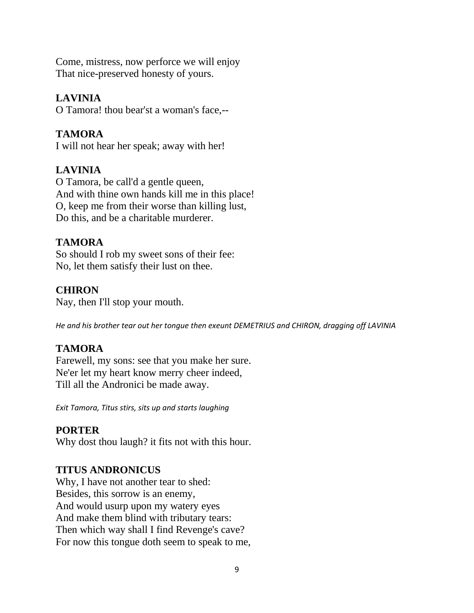Come, mistress, now perforce we will enjoy That nice-preserved honesty of yours.

## **LAVINIA**

O Tamora! thou bear'st a woman's face,--

## **TAMORA**

I will not hear her speak; away with her!

## **LAVINIA**

O Tamora, be call'd a gentle queen, And with thine own hands kill me in this place! O, keep me from their worse than killing lust, Do this, and be a charitable murderer.

## **TAMORA**

So should I rob my sweet sons of their fee: No, let them satisfy their lust on thee.

## **CHIRON**

Nay, then I'll stop your mouth.

*He and his brother tear out her tongue then exeunt DEMETRIUS and CHIRON, dragging off LAVINIA*

## **TAMORA**

Farewell, my sons: see that you make her sure. Ne'er let my heart know merry cheer indeed, Till all the Andronici be made away.

*Exit Tamora, Titus stirs, sits up and starts laughing*

## **PORTER**

Why dost thou laugh? it fits not with this hour.

## **TITUS ANDRONICUS**

Why, I have not another tear to shed: Besides, this sorrow is an enemy, And would usurp upon my watery eyes And make them blind with tributary tears: Then which way shall I find Revenge's cave? For now this tongue doth seem to speak to me,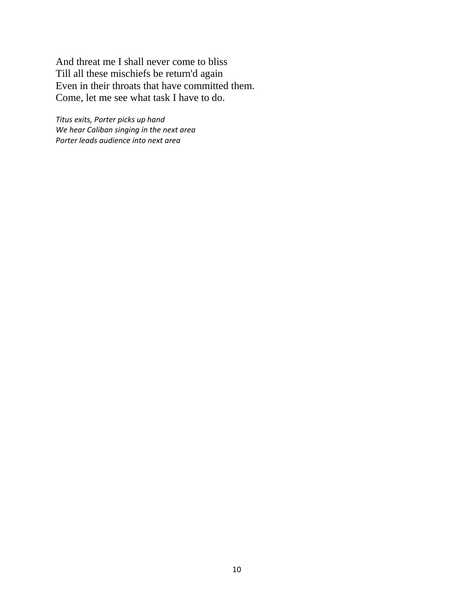And threat me I shall never come to bliss Till all these mischiefs be return'd again Even in their throats that have committed them. Come, let me see what task I have to do.

*Titus exits, Porter picks up hand We hear Caliban singing in the next area Porter leads audience into next area*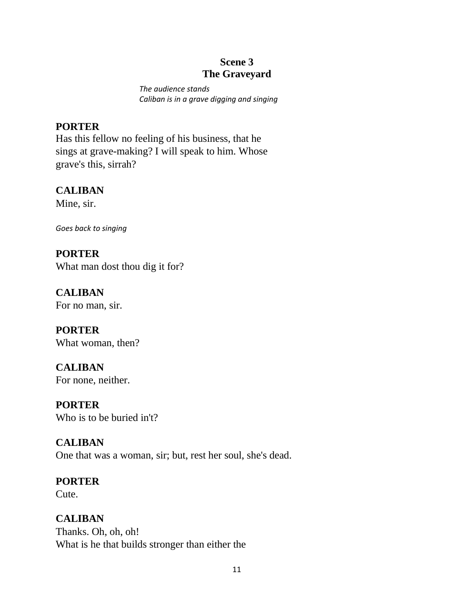### **Scene 3 The Graveyard**

*The audience stands Caliban is in a grave digging and singing*

## **PORTER**

Has this fellow no feeling of his business, that he sings at grave-making? I will speak to him. Whose grave's this, sirrah?

## **CALIBAN**

Mine, sir.

*Goes back to singing*

**PORTER** What man dost thou dig it for?

**CALIBAN** For no man, sir.

**PORTER** What woman, then?

**CALIBAN** For none, neither.

**PORTER** Who is to be buried in't?

**CALIBAN** One that was a woman, sir; but, rest her soul, she's dead.

# **PORTER**

Cute.

**CALIBAN**

Thanks. Oh, oh, oh! What is he that builds stronger than either the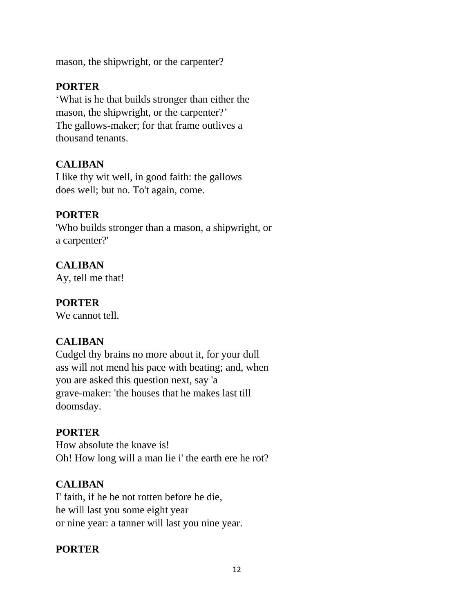mason, the shipwright, or the carpenter?

## **PORTER**

'What is he that builds stronger than either the mason, the shipwright, or the carpenter?' The gallows-maker; for that frame outlives a thousand tenants.

## **CALIBAN**

I like thy wit well, in good faith: the gallows does well; but no. To't again, come.

## **PORTER**

'Who builds stronger than a mason, a shipwright, or a carpenter?'

## **CALIBAN**

Ay, tell me that!

## **PORTER**

We cannot tell.

## **CALIBAN**

Cudgel thy brains no more about it, for your dull ass will not mend his pace with beating; and, when you are asked this question next, say 'a grave-maker: 'the houses that he makes last till doomsday.

## **PORTER**

How absolute the knave is! Oh! How long will a man lie i' the earth ere he rot?

## **CALIBAN**

I' faith, if he be not rotten before he die, he will last you some eight year or nine year: a tanner will last you nine year.

#### **PORTER**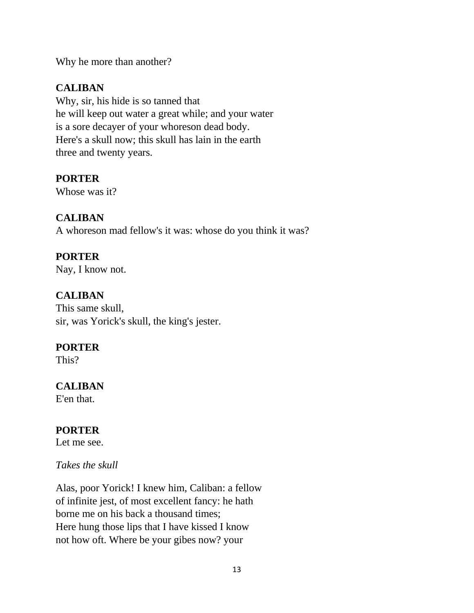Why he more than another?

## **CALIBAN**

Why, sir, his hide is so tanned that he will keep out water a great while; and your water is a sore decayer of your whoreson dead body. Here's a skull now; this skull has lain in the earth three and twenty years.

## **PORTER**

Whose was it?

## **CALIBAN**

A whoreson mad fellow's it was: whose do you think it was?

## **PORTER**

Nay, I know not.

#### **CALIBAN**

This same skull, sir, was Yorick's skull, the king's jester.

## **PORTER**

This?

## **CALIBAN**

E'en that.

## **PORTER**

Let me see.

#### *Takes the skull*

Alas, poor Yorick! I knew him, Caliban: a fellow of infinite jest, of most excellent fancy: he hath borne me on his back a thousand times; Here hung those lips that I have kissed I know not how oft. Where be your gibes now? your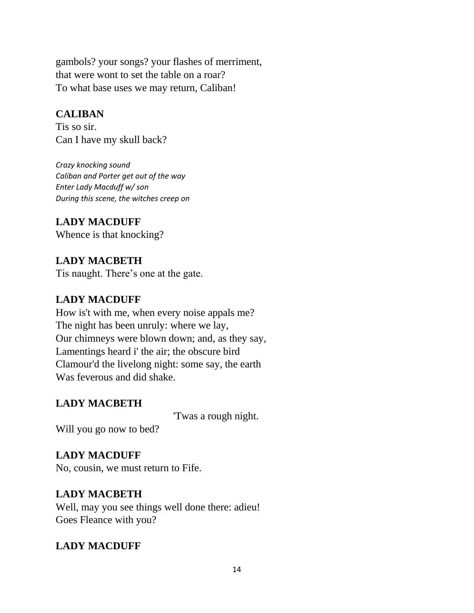gambols? your songs? your flashes of merriment, that were wont to set the table on a roar? To what base uses we may return, Caliban!

## **CALIBAN**

Tis so sir. Can I have my skull back?

*Crazy knocking sound Caliban and Porter get out of the way Enter Lady Macduff w/ son During this scene, the witches creep on*

**LADY MACDUFF** Whence is that knocking?

**LADY MACBETH** Tis naught. There's one at the gate.

## **LADY MACDUFF**

How is't with me, when every noise appals me? The night has been unruly: where we lay, Our chimneys were blown down; and, as they say, Lamentings heard i' the air; the obscure bird Clamour'd the livelong night: some say, the earth Was feverous and did shake.

## **LADY MACBETH**

'Twas a rough night.

Will you go now to bed?

**LADY MACDUFF** No, cousin, we must return to Fife.

## **LADY MACBETH**

Well, may you see things well done there: adieu! Goes Fleance with you?

## **LADY MACDUFF**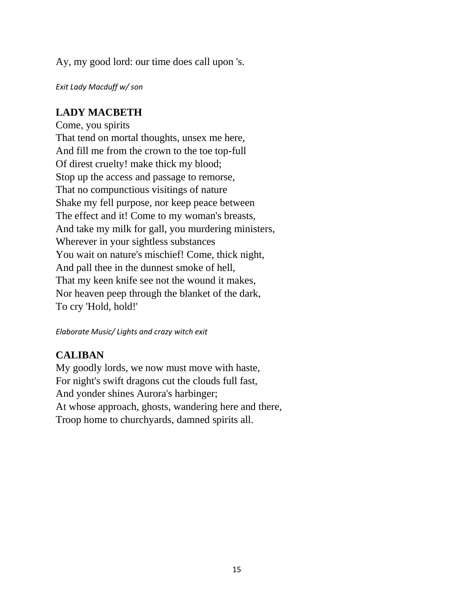Ay, my good lord: our time does call upon 's.

*Exit Lady Macduff w/ son*

## **LADY MACBETH**

Come, you spirits That tend on mortal thoughts, unsex me here, And fill me from the crown to the toe top-full Of direst cruelty! make thick my blood; Stop up the access and passage to remorse, That no compunctious visitings of nature Shake my fell purpose, nor keep peace between The effect and it! Come to my woman's breasts, And take my milk for gall, you murdering ministers, Wherever in your sightless substances You wait on nature's mischief! Come, thick night, And pall thee in the dunnest smoke of hell, That my keen knife see not the wound it makes, Nor heaven peep through the blanket of the dark, To cry 'Hold, hold!'

*Elaborate Music/ Lights and crazy witch exit*

## **CALIBAN**

My goodly lords, we now must move with haste, For night's swift dragons cut the clouds full fast, And yonder shines Aurora's harbinger; At whose approach, ghosts, wandering here and there, Troop home to churchyards, damned spirits all.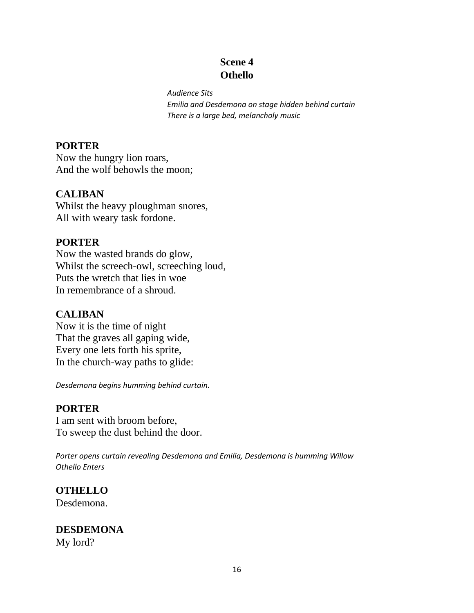## **Scene 4 Othello**

*Audience Sits Emilia and Desdemona on stage hidden behind curtain There is a large bed, melancholy music*

#### **PORTER**

Now the hungry lion roars, And the wolf behowls the moon;

#### **CALIBAN**

Whilst the heavy ploughman snores, All with weary task fordone.

#### **PORTER**

Now the wasted brands do glow, Whilst the screech-owl, screeching loud, Puts the wretch that lies in woe In remembrance of a shroud.

#### **CALIBAN**

Now it is the time of night That the graves all gaping wide, Every one lets forth his sprite, In the church-way paths to glide:

*Desdemona begins humming behind curtain.*

#### **PORTER**

I am sent with broom before, To sweep the dust behind the door.

*Porter opens curtain revealing Desdemona and Emilia, Desdemona is humming Willow Othello Enters*

**OTHELLO** Desdemona.

**DESDEMONA** My lord?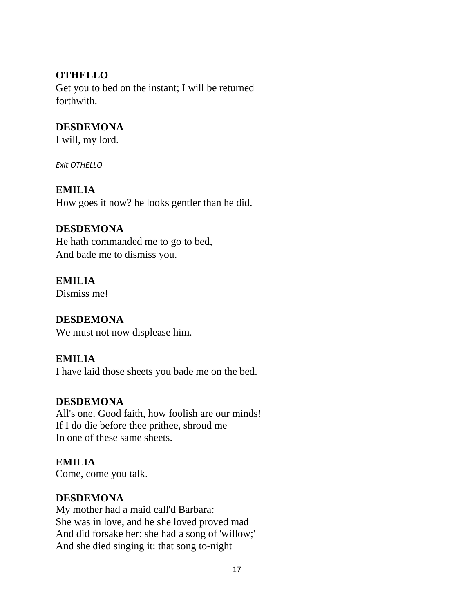## **OTHELLO**

Get you to bed on the instant; I will be returned forthwith.

## **DESDEMONA**

I will, my lord.

*Exit OTHELLO*

## **EMILIA**

How goes it now? he looks gentler than he did.

## **DESDEMONA**

He hath commanded me to go to bed, And bade me to dismiss you.

## **EMILIA**

Dismiss me!

#### **DESDEMONA**

We must not now displease him.

#### **EMILIA**

I have laid those sheets you bade me on the bed.

#### **DESDEMONA**

All's one. Good faith, how foolish are our minds! If I do die before thee prithee, shroud me In one of these same sheets.

#### **EMILIA**

Come, come you talk.

#### **DESDEMONA**

My mother had a maid call'd Barbara: She was in love, and he she loved proved mad And did forsake her: she had a song of 'willow;' And she died singing it: that song to-night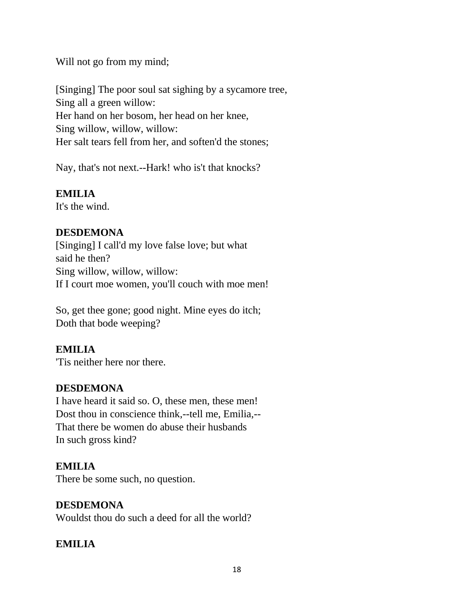Will not go from my mind;

[Singing] The poor soul sat sighing by a sycamore tree, Sing all a green willow: Her hand on her bosom, her head on her knee, Sing willow, willow, willow: Her salt tears fell from her, and soften'd the stones;

Nay, that's not next.--Hark! who is't that knocks?

#### **EMILIA**

It's the wind.

## **DESDEMONA**

[Singing] I call'd my love false love; but what said he then? Sing willow, willow, willow: If I court moe women, you'll couch with moe men!

So, get thee gone; good night. Mine eyes do itch; Doth that bode weeping?

#### **EMILIA**

'Tis neither here nor there.

#### **DESDEMONA**

I have heard it said so. O, these men, these men! Dost thou in conscience think,--tell me, Emilia,-- That there be women do abuse their husbands In such gross kind?

## **EMILIA**

There be some such, no question.

#### **DESDEMONA**

Wouldst thou do such a deed for all the world?

#### **EMILIA**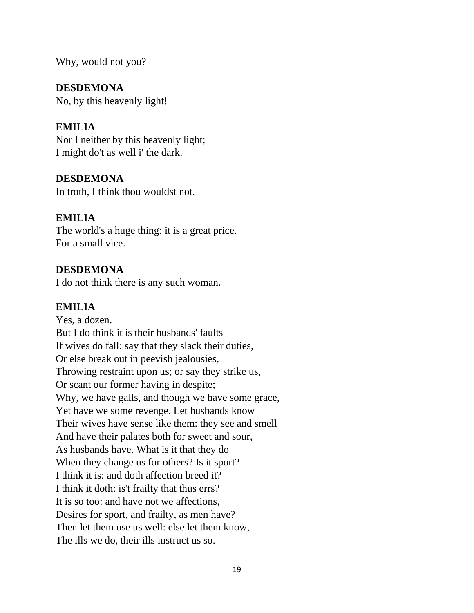Why, would not you?

#### **DESDEMONA**

No, by this heavenly light!

## **EMILIA**

Nor I neither by this heavenly light; I might do't as well i' the dark.

#### **DESDEMONA**

In troth, I think thou wouldst not.

#### **EMILIA**

The world's a huge thing: it is a great price. For a small vice.

#### **DESDEMONA**

I do not think there is any such woman.

#### **EMILIA**

Yes, a dozen. But I do think it is their husbands' faults If wives do fall: say that they slack their duties, Or else break out in peevish jealousies, Throwing restraint upon us; or say they strike us, Or scant our former having in despite; Why, we have galls, and though we have some grace, Yet have we some revenge. Let husbands know Their wives have sense like them: they see and smell And have their palates both for sweet and sour, As husbands have. What is it that they do When they change us for others? Is it sport? I think it is: and doth affection breed it? I think it doth: is't frailty that thus errs? It is so too: and have not we affections, Desires for sport, and frailty, as men have? Then let them use us well: else let them know, The ills we do, their ills instruct us so.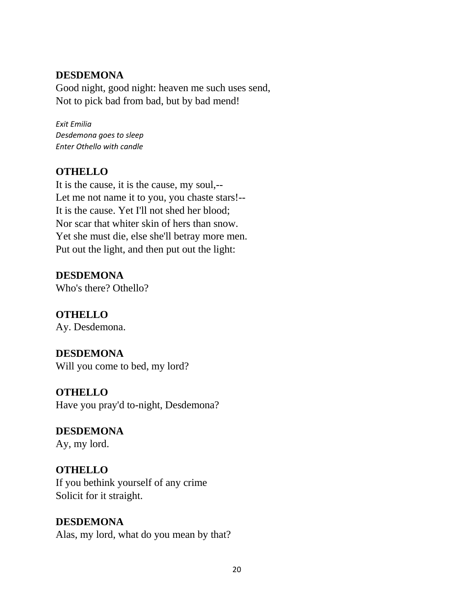#### **DESDEMONA**

Good night, good night: heaven me such uses send, Not to pick bad from bad, but by bad mend!

*Exit Emilia Desdemona goes to sleep Enter Othello with candle*

#### **OTHELLO**

It is the cause, it is the cause, my soul,-- Let me not name it to you, you chaste stars!-- It is the cause. Yet I'll not shed her blood; Nor scar that whiter skin of hers than snow. Yet she must die, else she'll betray more men. Put out the light, and then put out the light:

**DESDEMONA** Who's there? Othello?

**OTHELLO** Ay. Desdemona.

**DESDEMONA** Will you come to bed, my lord?

**OTHELLO** Have you pray'd to-night, Desdemona?

## **DESDEMONA**

Ay, my lord.

**OTHELLO**

If you bethink yourself of any crime Solicit for it straight.

#### **DESDEMONA**

Alas, my lord, what do you mean by that?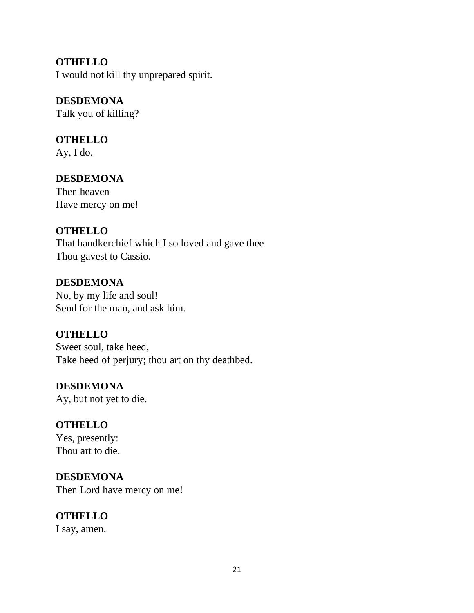#### **OTHELLO**

I would not kill thy unprepared spirit.

# **DESDEMONA**

Talk you of killing?

## **OTHELLO**

Ay, I do.

## **DESDEMONA**

Then heaven Have mercy on me!

## **OTHELLO**

That handkerchief which I so loved and gave thee Thou gavest to Cassio.

#### **DESDEMONA**

No, by my life and soul! Send for the man, and ask him.

#### **OTHELLO**

Sweet soul, take heed, Take heed of perjury; thou art on thy deathbed.

## **DESDEMONA**

Ay, but not yet to die.

## **OTHELLO**

Yes, presently: Thou art to die.

## **DESDEMONA**

Then Lord have mercy on me!

## **OTHELLO**

I say, amen.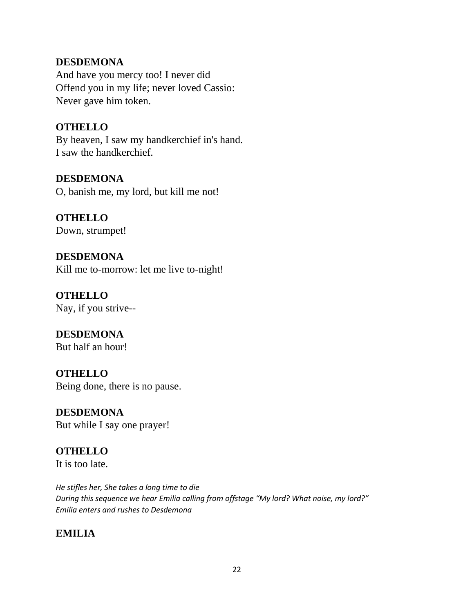#### **DESDEMONA**

And have you mercy too! I never did Offend you in my life; never loved Cassio: Never gave him token.

## **OTHELLO**

By heaven, I saw my handkerchief in's hand. I saw the handkerchief.

#### **DESDEMONA**

O, banish me, my lord, but kill me not!

#### **OTHELLO** Down, strumpet!

**DESDEMONA** Kill me to-morrow: let me live to-night!

**OTHELLO** Nay, if you strive--

#### **DESDEMONA** But half an hour!

**OTHELLO** Being done, there is no pause.

**DESDEMONA** But while I say one prayer!

# **OTHELLO**

It is too late.

*He stifles her, She takes a long time to die During this sequence we hear Emilia calling from offstage "My lord? What noise, my lord?" Emilia enters and rushes to Desdemona*

## **EMILIA**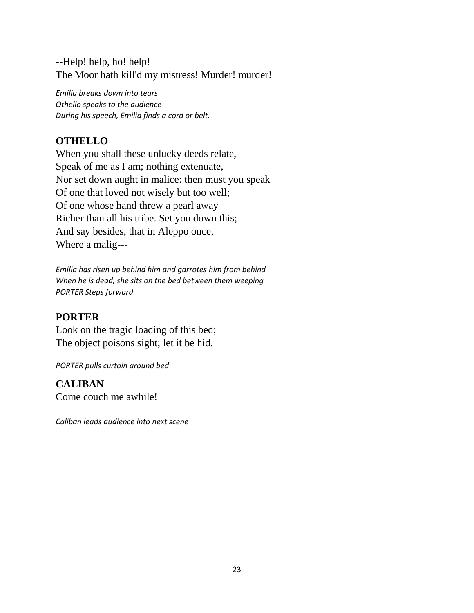## --Help! help, ho! help! The Moor hath kill'd my mistress! Murder! murder!

*Emilia breaks down into tears Othello speaks to the audience During his speech, Emilia finds a cord or belt.*

## **OTHELLO**

When you shall these unlucky deeds relate, Speak of me as I am; nothing extenuate, Nor set down aught in malice: then must you speak Of one that loved not wisely but too well; Of one whose hand threw a pearl away Richer than all his tribe. Set you down this; And say besides, that in Aleppo once, Where a malig---

*Emilia has risen up behind him and garrotes him from behind When he is dead, she sits on the bed between them weeping PORTER Steps forward*

#### **PORTER**

Look on the tragic loading of this bed; The object poisons sight; let it be hid.

*PORTER pulls curtain around bed*

## **CALIBAN**

Come couch me awhile!

*Caliban leads audience into next scene*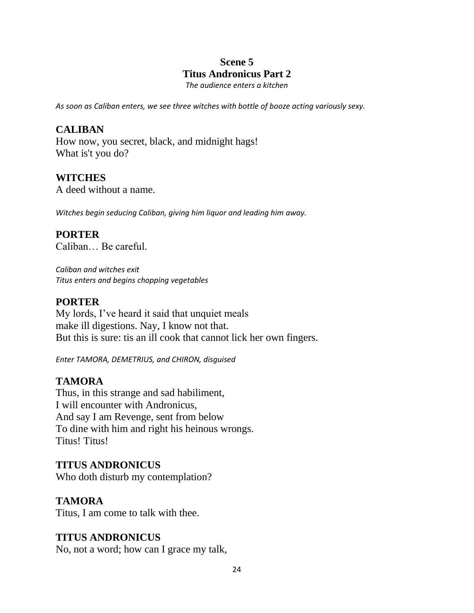## **Scene 5 Titus Andronicus Part 2**

*The audience enters a kitchen*

*As soon as Caliban enters, we see three witches with bottle of booze acting variously sexy.*

#### **CALIBAN**

How now, you secret, black, and midnight hags! What is't you do?

#### **WITCHES**

A deed without a name.

*Witches begin seducing Caliban, giving him liquor and leading him away.*

#### **PORTER** Caliban… Be careful.

*Caliban and witches exit Titus enters and begins chopping vegetables*

#### **PORTER**

My lords, I've heard it said that unquiet meals make ill digestions. Nay, I know not that. But this is sure: tis an ill cook that cannot lick her own fingers.

*Enter TAMORA, DEMETRIUS, and CHIRON, disguised*

#### **TAMORA**

Thus, in this strange and sad habiliment, I will encounter with Andronicus, And say I am Revenge, sent from below To dine with him and right his heinous wrongs. Titus! Titus!

#### **TITUS ANDRONICUS**

Who doth disturb my contemplation?

#### **TAMORA**

Titus, I am come to talk with thee.

#### **TITUS ANDRONICUS**

No, not a word; how can I grace my talk,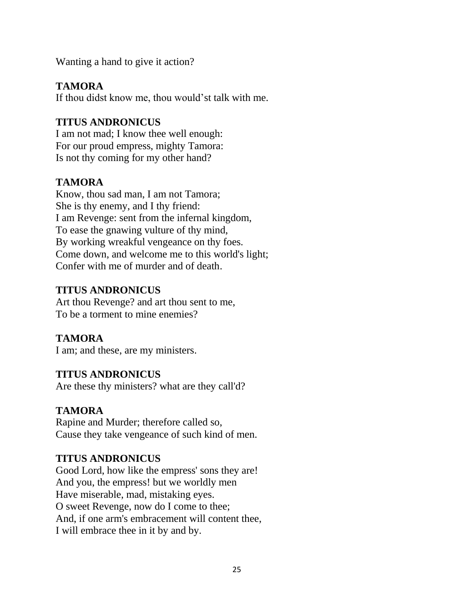Wanting a hand to give it action?

## **TAMORA**

If thou didst know me, thou would'st talk with me.

## **TITUS ANDRONICUS**

I am not mad; I know thee well enough: For our proud empress, mighty Tamora: Is not thy coming for my other hand?

## **TAMORA**

Know, thou sad man, I am not Tamora; She is thy enemy, and I thy friend: I am Revenge: sent from the infernal kingdom, To ease the gnawing vulture of thy mind, By working wreakful vengeance on thy foes. Come down, and welcome me to this world's light; Confer with me of murder and of death.

## **TITUS ANDRONICUS**

Art thou Revenge? and art thou sent to me, To be a torment to mine enemies?

## **TAMORA**

I am; and these, are my ministers.

## **TITUS ANDRONICUS**

Are these thy ministers? what are they call'd?

## **TAMORA**

Rapine and Murder; therefore called so, Cause they take vengeance of such kind of men.

## **TITUS ANDRONICUS**

Good Lord, how like the empress' sons they are! And you, the empress! but we worldly men Have miserable, mad, mistaking eyes. O sweet Revenge, now do I come to thee; And, if one arm's embracement will content thee, I will embrace thee in it by and by.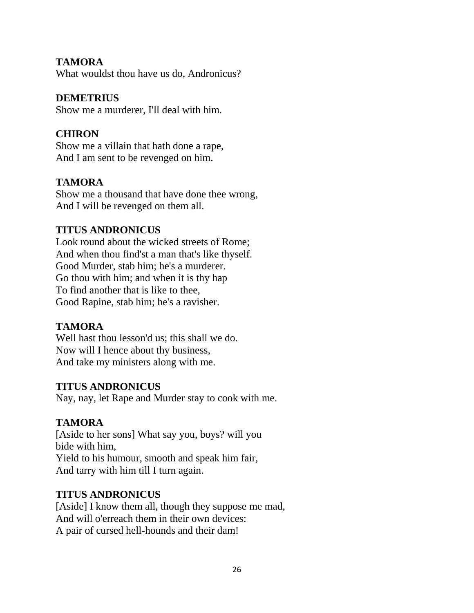## **TAMORA**

What wouldst thou have us do, Andronicus?

#### **DEMETRIUS**

Show me a murderer, I'll deal with him.

## **CHIRON**

Show me a villain that hath done a rape, And I am sent to be revenged on him.

## **TAMORA**

Show me a thousand that have done thee wrong, And I will be revenged on them all.

#### **TITUS ANDRONICUS**

Look round about the wicked streets of Rome; And when thou find'st a man that's like thyself. Good Murder, stab him; he's a murderer. Go thou with him; and when it is thy hap To find another that is like to thee, Good Rapine, stab him; he's a ravisher.

#### **TAMORA**

Well hast thou lesson'd us; this shall we do. Now will I hence about thy business, And take my ministers along with me.

#### **TITUS ANDRONICUS**

Nay, nay, let Rape and Murder stay to cook with me.

## **TAMORA**

[Aside to her sons] What say you, boys? will you bide with him, Yield to his humour, smooth and speak him fair, And tarry with him till I turn again.

#### **TITUS ANDRONICUS**

[Aside] I know them all, though they suppose me mad, And will o'erreach them in their own devices: A pair of cursed hell-hounds and their dam!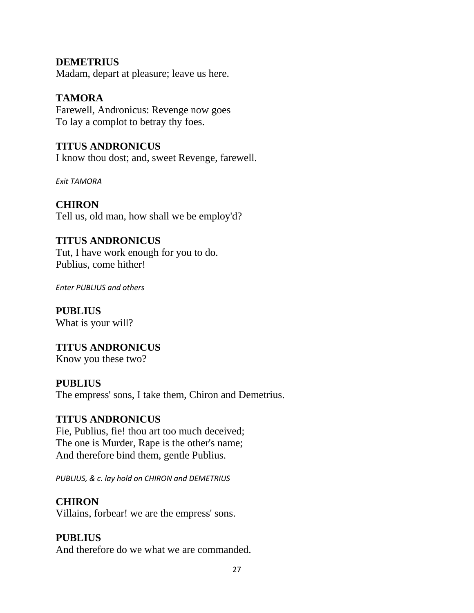#### **DEMETRIUS**

Madam, depart at pleasure; leave us here.

## **TAMORA**

Farewell, Andronicus: Revenge now goes To lay a complot to betray thy foes.

#### **TITUS ANDRONICUS**

I know thou dost; and, sweet Revenge, farewell.

*Exit TAMORA*

**CHIRON** Tell us, old man, how shall we be employ'd?

#### **TITUS ANDRONICUS**

Tut, I have work enough for you to do. Publius, come hither!

*Enter PUBLIUS and others*

**PUBLIUS** What is your will?

# **TITUS ANDRONICUS**

Know you these two?

#### **PUBLIUS**

The empress' sons, I take them, Chiron and Demetrius.

#### **TITUS ANDRONICUS**

Fie, Publius, fie! thou art too much deceived; The one is Murder, Rape is the other's name; And therefore bind them, gentle Publius.

*PUBLIUS, & c. lay hold on CHIRON and DEMETRIUS*

#### **CHIRON**

Villains, forbear! we are the empress' sons.

## **PUBLIUS**

And therefore do we what we are commanded.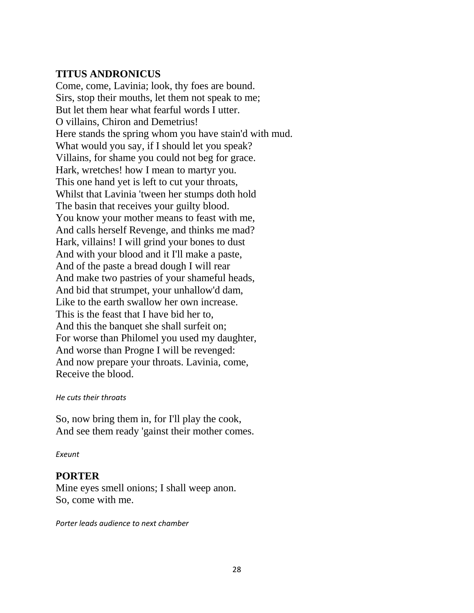#### **TITUS ANDRONICUS**

Come, come, Lavinia; look, thy foes are bound. Sirs, stop their mouths, let them not speak to me; But let them hear what fearful words I utter. O villains, Chiron and Demetrius! Here stands the spring whom you have stain'd with mud. What would you say, if I should let you speak? Villains, for shame you could not beg for grace. Hark, wretches! how I mean to martyr you. This one hand yet is left to cut your throats, Whilst that Lavinia 'tween her stumps doth hold The basin that receives your guilty blood. You know your mother means to feast with me, And calls herself Revenge, and thinks me mad? Hark, villains! I will grind your bones to dust And with your blood and it I'll make a paste, And of the paste a bread dough I will rear And make two pastries of your shameful heads, And bid that strumpet, your unhallow'd dam, Like to the earth swallow her own increase. This is the feast that I have bid her to, And this the banquet she shall surfeit on; For worse than Philomel you used my daughter, And worse than Progne I will be revenged: And now prepare your throats. Lavinia, come, Receive the blood.

#### *He cuts their throats*

So, now bring them in, for I'll play the cook, And see them ready 'gainst their mother comes.

#### *Exeunt*

#### **PORTER**

Mine eyes smell onions; I shall weep anon. So, come with me.

*Porter leads audience to next chamber*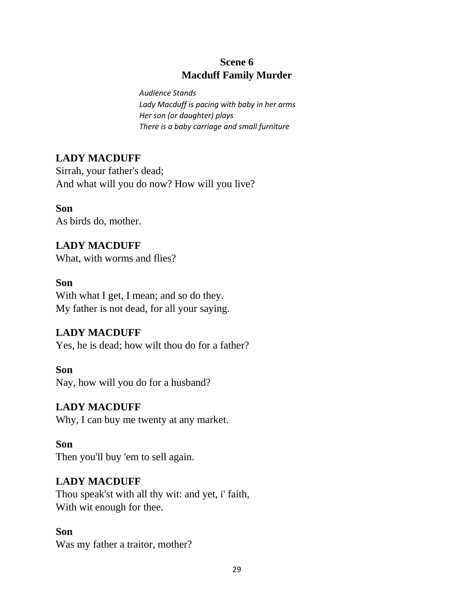## **Scene 6 Macduff Family Murder**

*Audience Stands Lady Macduff is pacing with baby in her arms Her son (or daughter) plays There is a baby carriage and small furniture*

## **LADY MACDUFF**

Sirrah, your father's dead; And what will you do now? How will you live?

**Son** As birds do, mother.

#### **LADY MACDUFF**

What, with worms and flies?

#### **Son**

With what I get, I mean; and so do they. My father is not dead, for all your saying.

## **LADY MACDUFF**

Yes, he is dead; how wilt thou do for a father?

#### **Son**

Nay, how will you do for a husband?

#### **LADY MACDUFF**

Why, I can buy me twenty at any market.

#### **Son**

Then you'll buy 'em to sell again.

#### **LADY MACDUFF**

Thou speak'st with all thy wit: and yet, i' faith, With wit enough for thee.

#### **Son**

Was my father a traitor, mother?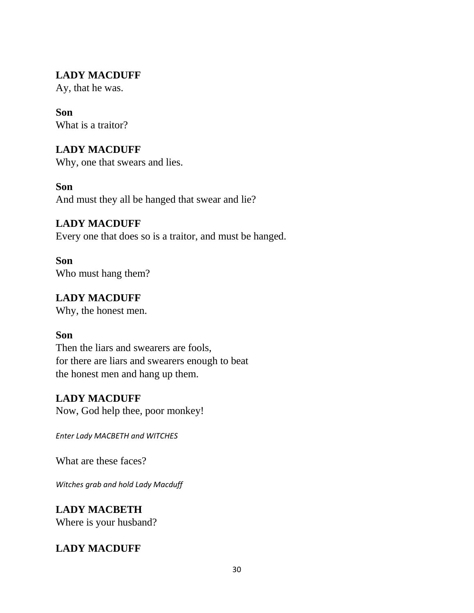## **LADY MACDUFF**

Ay, that he was.

## **Son**

What is a traitor?

## **LADY MACDUFF**

Why, one that swears and lies.

#### **Son**

And must they all be hanged that swear and lie?

#### **LADY MACDUFF**

Every one that does so is a traitor, and must be hanged.

**Son** Who must hang them?

## **LADY MACDUFF**

Why, the honest men.

#### **Son**

Then the liars and swearers are fools, for there are liars and swearers enough to beat the honest men and hang up them.

#### **LADY MACDUFF**

Now, God help thee, poor monkey!

*Enter Lady MACBETH and WITCHES*

What are these faces?

*Witches grab and hold Lady Macduff*

## **LADY MACBETH**

Where is your husband?

## **LADY MACDUFF**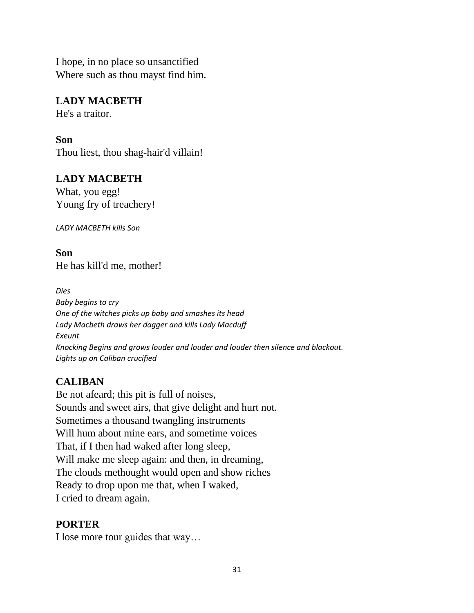I hope, in no place so unsanctified Where such as thou mayst find him.

#### **LADY MACBETH**

He's a traitor.

#### **Son**

Thou liest, thou shag-hair'd villain!

## **LADY MACBETH**

What, you egg! Young fry of treachery!

*LADY MACBETH kills Son*

**Son** He has kill'd me, mother!

*Dies Baby begins to cry One of the witches picks up baby and smashes its head Lady Macbeth draws her dagger and kills Lady Macduff Exeunt Knocking Begins and grows louder and louder and louder then silence and blackout. Lights up on Caliban crucified*

## **CALIBAN**

Be not afeard; this pit is full of noises, Sounds and sweet airs, that give delight and hurt not. Sometimes a thousand twangling instruments Will hum about mine ears, and sometime voices That, if I then had waked after long sleep, Will make me sleep again: and then, in dreaming, The clouds methought would open and show riches Ready to drop upon me that, when I waked, I cried to dream again.

#### **PORTER**

I lose more tour guides that way…